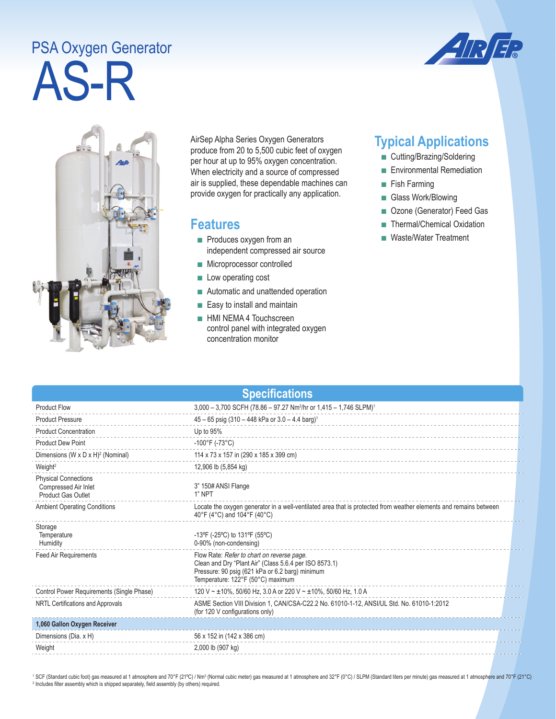## AS-R PSA Oxygen Generator





AirSep Alpha Series Oxygen Generators produce from 20 to 5,500 cubic feet of oxygen per hour at up to 95% oxygen concentration. When electricity and a source of compressed air is supplied, these dependable machines can provide oxygen for practically any application.

## **Features**

- Produces oxygen from an independent compressed air source
- Microprocessor controlled
- Low operating cost
- Automatic and unattended operation
- Easy to install and maintain
- HMI NEMA 4 Touchscreen control panel with integrated oxygen concentration monitor

## **Typical Applications**

- Cutting/Brazing/Soldering
- Environmental Remediation
- Fish Farming
- Glass Work/Blowing
- Ozone (Generator) Feed Gas
- Thermal/Chemical Oxidation
- Waste/Water Treatment

| <b>Specifications</b>                                                            |                                                                                                                                                                                              |  |  |
|----------------------------------------------------------------------------------|----------------------------------------------------------------------------------------------------------------------------------------------------------------------------------------------|--|--|
| <b>Product Flow</b>                                                              | 3,000 - 3,700 SCFH (78.86 - 97.27 Nm <sup>3</sup> /hr or 1,415 - 1,746 SLPM) <sup>1</sup>                                                                                                    |  |  |
| <b>Product Pressure</b>                                                          | $45 - 65$ psig (310 - 448 kPa or 3.0 - 4.4 barg) <sup>1</sup>                                                                                                                                |  |  |
| <b>Product Concentration</b>                                                     | Up to 95%                                                                                                                                                                                    |  |  |
| <b>Product Dew Point</b>                                                         | $-100^{\circ}$ F (-73°C)                                                                                                                                                                     |  |  |
| Dimensions (W x D x H) <sup>2</sup> (Nominal)                                    | 114 x 73 x 157 in (290 x 185 x 399 cm)                                                                                                                                                       |  |  |
| Weight <sup>2</sup>                                                              | 12,906 lb (5,854 kg)                                                                                                                                                                         |  |  |
| <b>Physical Connections</b><br>Compressed Air Inlet<br><b>Product Gas Outlet</b> | 3" 150# ANSI Flange<br>1" NPT                                                                                                                                                                |  |  |
| <b>Ambient Operating Conditions</b>                                              | Locate the oxygen generator in a well-ventilated area that is protected from weather elements and remains between<br>40°F (4°C) and 104°F (40°C)                                             |  |  |
| Storage<br>Temperature<br>Humidity                                               | -13°F (-25°C) to 131°F (55°C)<br>0-90% (non-condensing)                                                                                                                                      |  |  |
| <b>Feed Air Requirements</b>                                                     | Flow Rate: Refer to chart on reverse page.<br>Clean and Dry "Plant Air" (Class 5.6.4 per ISO 8573.1)<br>Pressure: 90 psig (621 kPa or 6.2 barg) minimum<br>Temperature: 122°F (50°C) maximum |  |  |
| Control Power Requirements (Single Phase)                                        | 120 V ~ ±10%, 50/60 Hz, 3.0 A or 220 V ~ ±10%, 50/60 Hz, 1.0 A                                                                                                                               |  |  |
| NRTL Certifications and Approvals                                                | ASME Section VIII Division 1, CAN/CSA-C22.2 No. 61010-1-12, ANSI/UL Std. No. 61010-1:2012<br>(for 120 V configurations only)                                                                 |  |  |
| 1,060 Gallon Oxygen Receiver                                                     |                                                                                                                                                                                              |  |  |
| Dimensions (Dia. x H)                                                            | 56 x 152 in (142 x 386 cm)                                                                                                                                                                   |  |  |
| Weight                                                                           | 2,000 lb (907 kg)                                                                                                                                                                            |  |  |

<sup>1</sup> SCF (Standard cubic foot) gas measured at 1 atmosphere and 70°F (21°C) / Nm<sup>3</sup> (Normal cubic meter) gas measured at 1 atmosphere and 32°F (0°C) / SLPM (Standard liters per minute) gas measured at 1 atmosphere and 70°F <sup>2</sup> Includes filter assembly which is shipped separately, field assembly (by others) required.